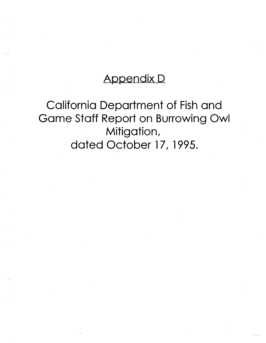## Appendix D

# California Department of Fish and Game Staff Report on Burrowing Owl Mitigation, dated October 17, 1995.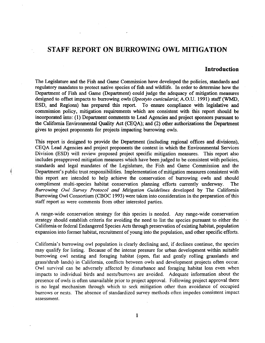### **STAFF REPORT ON BURROWING OWL MITIGATION**

#### **Introduction**

The Legislature and the Fish and Game Commission have developed the policies, standards and regulatory mandates to protect native species of fish and wildlife. In order to determine how the Department of Fish and Game (Department) could judge the adequacy of mitigation measures designed to offset impacts to burrowing owls *(Speotyto cunicularia;* A.0.U. 1991) staff (WMD, ESD, and Regions) has prepared this report. To ensure compliance with legislative and commission policy, mitigation requirements which are consistent with this report should be incorporated into: (1) Department comments to Lead Agencies and project sponsors pursuant to the California Environmental Quality Act (CEQA); and (2) other authorizations the Department gives to project proponents for projects impacting burrowing owls.

This report is designed to provide the Department (including regional offices and divisions), CEQA Lead Agencies and project proponents the context in which the Environmental Services Division (ESD) will review proposed project specific mitigation measures. This report also includes preapproved mitigation measures which have been judged to be consistent with policies, standards and legal mandates of the Legislature, the Fish and Game Commission and the Department's public trust responsibilities. Implementation of mitigation measures consistent with this report are intended to help achieve the conservation of burrowing owls and should compliment multi-species habitat conservation planning efforts currently underway. The *Burrowing Owl Survey Protocol and Mitigation Guidelines* developed by The California Burrowing Owl Consortium (CBOC 1993) were taken into consideration in the preparation of this staff report as were comments from other interested parties.

A range-wide conservation strategy for this species is needed. Any range-wide conservation strategy should establish criteria for avoiding the need to list the species pursuant to either the California or federal Endangered Species Acts through preservation of existing habitat, population expansion into former habitat, recruitment of young into the population, and other specific efforts.

California's burrowing owl population is clearly declining and, if declines continue, the species may qualify for listing. Because of the intense pressure for urban development within suitable burrowing owl nesting and foraging habitat (open, flat and gently rolling grasslands and grass/shrub lands) in California, conflicts between owls and development projects often occur. Owl survival can be adversely affected by disturbance and foraging habitat loss even when impacts to individual birds and nests/burrows are avoided. Adequate information about the presence of owls is often unavailable prior to project approval. Following project approval there is no legal mechanism through which to seek mitigation other than avoidance of occupied burrows or nests. The absence of standardized survey methods often impedes consistent impact assessment.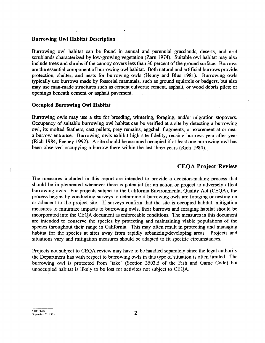#### Burrowing Owl Habitat Description

Burrowing owl habitat can be found in annual and perennial grasslands, deserts, and arid scrublands characterized by low-growing vegetation (Zarn 1974). Suitable owl habitat may also include trees and shrubs if the canopy covers less than 30 percent of the ground surface. Burrows are the essential component of burrowing owl habitat. Both natural and artificial burrows provide protection, shelter, and nests for burrowing owls (Henny and Blus 1981). Burrowing owls typically use burrows made by fossorial mammals, such as ground squirrels or badgers, but also may use man-made structures such as cement culverts; cement, asphalt, or wood debris piles; or openings beneath cement or asphalt pavement.

#### Occupied Burrowing Owl Habitat

Burrowing owls may use a site for breeding, wintering, foraging, and/or migration stopovers. Occupancy of suitable burrowing owl habitat can be verified at a site by detecting a burrowing owl, its molted feathers, cast pellets, prey remains, eggshell fragments, or excrement at or near a burrow entrance. Burrowing owls exhibit high site fidelity, reusing burrows -year after year (Rich 1984, Feeney 1992). A site should be assumed occupied if at least one burrowing owl has been observed occupying a burrow there within the last three years (Rich 1984).

#### CEQA Project Review

The measures included in this report are intended to provide a decision-making process that should be implemented whenever there is potential for an action or project to adversely affect burrowing owls. For projects subject to the California Environmental Quality Act (CEQA), the process begins by conducting surveys to determine if burrowing owls are foraging or nesting on or adjacent to the project site. If surveys confirm that the site is occupied habitat, mitigation measures to minimize impacts to burrowing owls, their burrows and foraging habitat should be incorporated into the CEQA document as enforceable conditions. The measures in this document are intended to conserve the species by protecting and maintaining viable populations of the species throughout their range in California. This may often result in protecting and managing habitat for the species at sites away from rapidly urbanizing/developing areas. Projects and situations vary and mitigation measures should be adapted to fit specific circumstances.

Projects not subject to CEQA review may have to be handled separately since the legal authority the Department has with respect to burrowing owls in this type of situation is often limited. The burrowing owl is protected from "take" (Section 3503.5 of the Fish and Game Code) but unoccupied habitat is likely to be lost for activites not subject to CEQA.

CDFG\ESD  $\sum$  September 25, 1995

Ť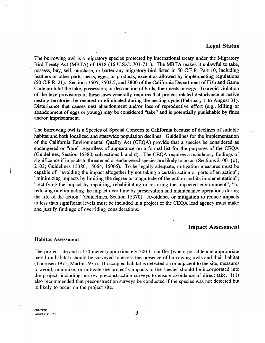#### Legal Status

The burrowing owl is a migratory species protected by international treaty under the Migratory Bird Treaty Act (MBTA) of 1918 (16 U.S.C. 703-711). The MBTA makes it unlawful to take, possess, buy, sell, purchase, or barter any migratory bird listed in 50 C.F.R. Part 10, including feathers or other parts, nests, eggs, or products, except as allowed by implementing regulations (50 C.F.R. 21). Sections 3505, 3503.5, and 3800 of the California Department of Fish and Game Code prohibit the take, possession, or destruction of birds, their nests or eggs. To avoid violation of the take provisions of these laws generally requires that project:-related disturbance at active nesting territories be reduced or eliminated during the nesting cycle (February l to August 31). Disturbance that causes nest abandonment and/or loss of reproductive effort (e.g., killing or abandonment of eggs or young) may be considered "take" and is potentially punishable by fines and/or imprisonment.

The burrowing owl is a Species of Special Concern to California because of declines of suitable habitat and both localized and statewide population declines. Guidelines for the Implementation of the California Environmental Quality Act (CEQA) provide that a species be considered as endangered or "rare" regardless of appearance on a formal list for the purposes of the CEQA (Guidelines, Section 15380, subsections band d). The CEQA requires a mandatory findings of significance if impacts to threatened or endangered species are likely to occur (Sections 21001 $\{c\}$ , 2103; Guidelines 15380, 15064, 15065). To be legally adequate, mitigation measures must be capable of "avoiding the impact altogether by not taking a certain action or parts of an action"; "minimizing impacts by limiting the degree or magnitude of the action and its implementation"; "rectifying the impact by repairing, rehabilitating or restoring the impacted environment"; "or reducing or eliminating the impact over time by preservation and maintenance operations during the life of the action" (Guidelines, Section 15370). Avoidance or mitigation to reduce impacts to less than significant levels must be included in a project or the CEQA lead agency must make and justify findings of overriding considerations.

#### Impact Assessment

#### Habitat Assessment

**MARK** 

The project site and a 150 meter (approximately 500 ft.) buffer (where possible and appropriate based on habitat) should be surveyed to assess the presence of burrowing owls and their habitat (Thomsen 1971, Martin 1973 ). If occupied habitat is detected on or adjacent to the site, measures to avoid, minimize, or mitigate the project's impacts to the species should be incorporated into the project, including burrow preconstruction surveys to ensure avoidance of direct take. It is . also recommended that preconstruction surveys be conducted if the species was not detected but is likely to occur on the project site.

CDFGIESD  $S<sub>exphere</sub>$  : September 25, 1995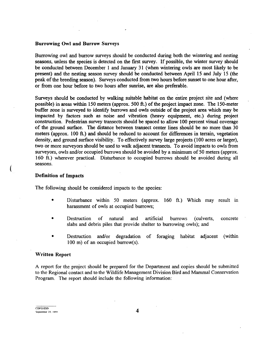#### Burrowing Owl and Burrow Surveys

Burrowing owl and burrow surveys should be conducted during both the wintering and nesting seasons, unless the species is detected on the first survey. If possible, the winter survey should be conducted between December l and January 31 (when wintering owls are most likely to be present) and the nesting season survey should be conducted between April 15 and July 15 (the peak of the breeding season). Surveys conducted from two hours before sunset to one hour after, or from one hour before to two hours after sunrise, are also preferable.

Surveys should be conducted by walking suitable habitat on the entire project site and (where possible) in areas within 150 meters (approx. 500 ft.) of the project impact zone. The 150-meter buffer zone is surveyed to identify burrows and owls outside of the project area which may be impacted by factors such as noise and vibration (heavy equipment, etc.) during project construction. Pedestrian survey transects should be spaced to allow l 00 percent visual coverage of the ground surface. The distance between transect center lines should be no more than 30 meters (approx. 100 ft.) and should be reduced to account for differences in terrain, vegetation density, and ground surface visibility. To effectively survey large projects (100 acres or larger), two or more surveyors should be used to walk adjacent transects. To avoid impacts to owls from surveyors, owls and/or occupied burrows should be avoided by a minimum of 50 meters (approx. 160· ft.) wherever practical. Disturbance to occupied burrows should be avoided during all seasons.

#### Definition of Impacts

 $\mathcal{L}$ 

The following should be considered impacts to the species:

- Disturbance within 50 meters (approx. 160 ft.) Which may result in harassment of owls at occupied burrows;
- Destruction of natural and artificial burrows (culverts, concrete slabs and debris piles that provide shelter to burrowing owls); and
- Destruction and/or degradation of foraging habitat adjacent (within 100 m) of an occupied burrow(s).

#### Written Report

A report for the project should be prepared for the Department and copies should be submitted to the Regional contact and to the Wildlife Management Division Bird and Mammal Conservation Program. The report should include the following information: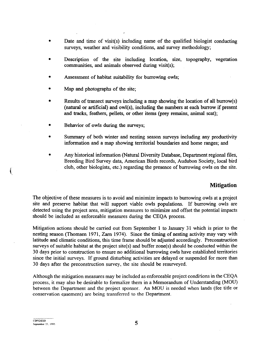- Date and time of visit(s) including name of the qualified biologist conducting surveys, weather and visibility conditions, and survey methodology;
- Description of the site including location, size, topography, vegetation communities, and animals observed during visit(s);
- Assessment of habitat suitability for burrowing owls;
- Map and photographs of the site;
- Results of transect surveys including a map showing the location of all burrow(s) (natural or artificial) and owl(s), including the numbers at each burrow if present and tracks, feathers, pellets, or other items (prey remains, animal scat);
- Behavior of owls during the surveys;
- Summary of both winter and nesting season surveys including any productivity information and a map showing territorial boundaries and home ranges; and
- Any historical information (Natural Diversity Database, Department regional files, Breeding Bird Survey data, American Birds records, Audubon Society, local bird club, other biologists, etc.) regarding the presence of burrowing owls on the site.

#### **Mitigation**

The objective of these measures is to avoid and minimize impacts to burrowing owls at a project site and preserve habitat that will support viable owls populations. If burrowing owls are detected using the project area, mitigation measures to minimize and offset the potential impacts should be included as enforceable measures during the CEQA process.

Mitigation actions should be carried out from September 1 to January 31 which is prior to the nesting season (Thomsen 1971, Zarn 1974). Since the timing of nesting activity may vary with latitude and climatic conditions, this time frame should be adjusted accordingly. Preconstruction surveys of suitable habitat at the project site(s) and buffer zone(s) should be conducted within the 30 days prior to construction to ensure no additional burrowing owls have established territories since the initial surveys. If ground disturbing activities are delayed or suspended for more than 30 days after the preconstruction survey, the site should be resurveyed.

Although the mitigation measures may be included as enforceable project conditions in the CEQA process, it may also be desirable to formalize them in a Memorandum of Understanding (MOU) between the Department and the project sponsor. An MOU is needed when lands (fee title or conservation easement) are being transferred to the Department.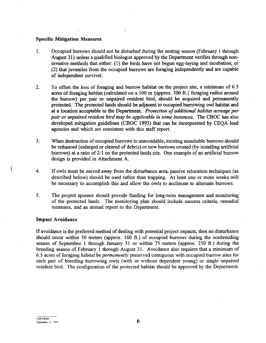#### Specific Mitigation Measures

- 1. Occupied burrows should not be disturbed during the nesting season (February 1 through August 31) unless a qualified biologist approved by the Department verifies through noninvasive methods that either: (1) the birds have not begun egg-laying and incubation; or (2) that juveniles from the occupied burrows are foraging independently and are capable of independent survival.
- 2. To offset the loss of foraging and burrow habitat on the project site, a minimum of 6.5 acres of foraging habitat (calculated on a 100 m {approx. 300 ft.} foraging radius around the burrow) per pair or unpaired resident bird, should be acquired and permanently protected. The protected lands should be adjacent to occupied burrowing owl habitat and at a location acceptable to the Department. *Protection of additional habitat acreage per pair or unpaired resident bird may be applicable in some instances.* The CBOC has also developed mitigation guidelines (CBOC 1993) that can be incorporated by CEQA lead agencies and which are consistent with this staff report.
- 3. When destruction of occupied burrows is unavoidable, existing unsuitable burrows should be enhanced (enlarged or cleared of debris) or new burrows created (by installing artificial burrows) at a ratio of 2:1 on the protected lands site. One example of an artificial burrow design is provided in Attachment A.
- 4. If owls must be moved away from the disturbance area, passive relocation techniques (as described below) should be used rather than trapping. At least one or more weeks will be necessary to accomplish this and allow the owls to acclimate to alternate burrows.
- 5. The project sponsor should provide funding for long-term management and monitoring of the protected lands. The monitoring plan should include success criteria, remedial measures, and an annual report to the Department.

#### Impact Avoidance

If avoidance is the preferred method of dealing with potential project impacts, then no disturbance should occur within 50 meters (approx. 160 ft.) of occupied burrows during the nonbreeding season of September l through January Jl or within 75 meters (approx. 250 ft.) during the breeding season of February l through August 31. Avoidance also requires that a minimum of 6.5 acres of foraging habitat be *permanently* preserved contiguous with occupied burrow sites for each pair of breeding burrowing owls (with or without dependent young) or single unpaired resident bird. The configuration of the protected habitat should be approved by the Department.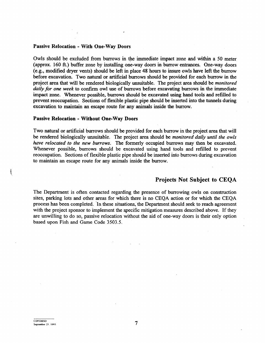#### Passive Relocation - With One-Way Doors

Owls should be excluded from burrows in the immediate impact zone and within a 50 meter (approx. 160 ft.) buffer zone by installing one-way doors in burrow entrances. One-way doors (e.g., modified dryer vents) should be left in place 48 hours to insure owls have left the burrow before excavation. Two natural or artificial burrows should be provided for each burrow in the project area that will be rendered biologically unsuitable. The project area should be *monitored daily for one week* to confirm owl use of burrows before excavating burrows in the immediate impact zone. Whenever possible, burrows should be excavated using hand tools and refilled to prevent reoccupation. Sections of flexible plastic pipe should be inserted into the tunnels during excavation to maintain an escape route for any animals inside the burrow.

#### Passive Relocation - Without One-Way Doors

Two natural or artificial burrows should be provided for each burrow in the project area that will be rendered biologically unsuitable. The project area should be *monitored daily until the owls have relocated to the new burrows.* The formerly occupied burrows may then be excavated. Whenever possible, burrows should be excavated using hand tools and refilled to prevent reoccupation. Sections of flexible plastic pipe should be inserted into burrows during excavation to maintain an escape route for any animals inside the burrow.

#### Projects Not Subject to CEQA

The Department is often contacted regarding the presence of burrowing owls on construction sites, parking lots and other areas for which there is no CEQA action or for which the CEQA process has been completed. In these situations, the Department should seek to reach agreement with the project sponsor to implement the specific mitigation measures described above. If they are unwilling to do so, passive relocation without the aid of one-way doors is their only option based upon Fish and Game Code 3503.5.

**Conduction**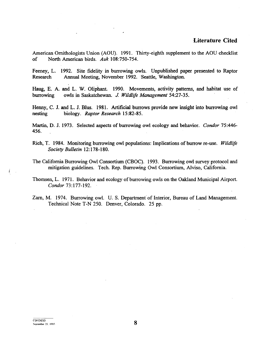#### **·Literature Cited**

American Ornithologists Union (AOU). 1991. Thirty-eighth supplement to the AOU checklist of North American birds. *Auk* 108:750-754.

Feeney, L. 1992. Site fidelity in burrowing owls. Unpublished paper presented to Raptor Research Annual Meeting, November 1992. Seattle, Washington.

Haug, E. A. and L. W. Oliphant. 1990. Movements, activity patterns, and habitat use of burrowing owls in Saskatchewan. J. *Wildlife Management* 54:27-35.

Henny, C. J. and L. J. Blus. 1981. Artificial burrows provide new insight into burrowing owl nesting biology. *Raptor Research* 15:82-85.

Martin, D. J. 1973. Selected aspects of burrowing owl ecology and behavior. *Condor* 75:446- 456.

- Rich, T. 1984. Monitoring burrowing owl populations: Implications of burrow re-use. *Wildlife Society Bulletin* 12: 178-180.
- The California Burrowing Owl Consortium (CBOC). 1993. Burrowing owl survey protocol and mitigation guidelines. Tech. Rep. Burrowing Owl Consortium, Alviso, California.

Thomsen, L. 1971. Behavior and ecology of burrowing owls on the Oakland Municipal Airport. *Condor* 73:177-192.

Zarn, M. 1974. Burrowing owl. U. S. Department of Interior, Bureau of Land Management. Technical Note T-N 250. Denver, Colorado. 25 pp.

 $\begin{picture}(20,20) \put(0,0){\line(1,0){10}} \put(15,0){\line(1,0){10}} \put(15,0){\line(1,0){10}} \put(15,0){\line(1,0){10}} \put(15,0){\line(1,0){10}} \put(15,0){\line(1,0){10}} \put(15,0){\line(1,0){10}} \put(15,0){\line(1,0){10}} \put(15,0){\line(1,0){10}} \put(15,0){\line(1,0){10}} \put(15,0){\line(1,0){10}} \put(15,0){\line(1$